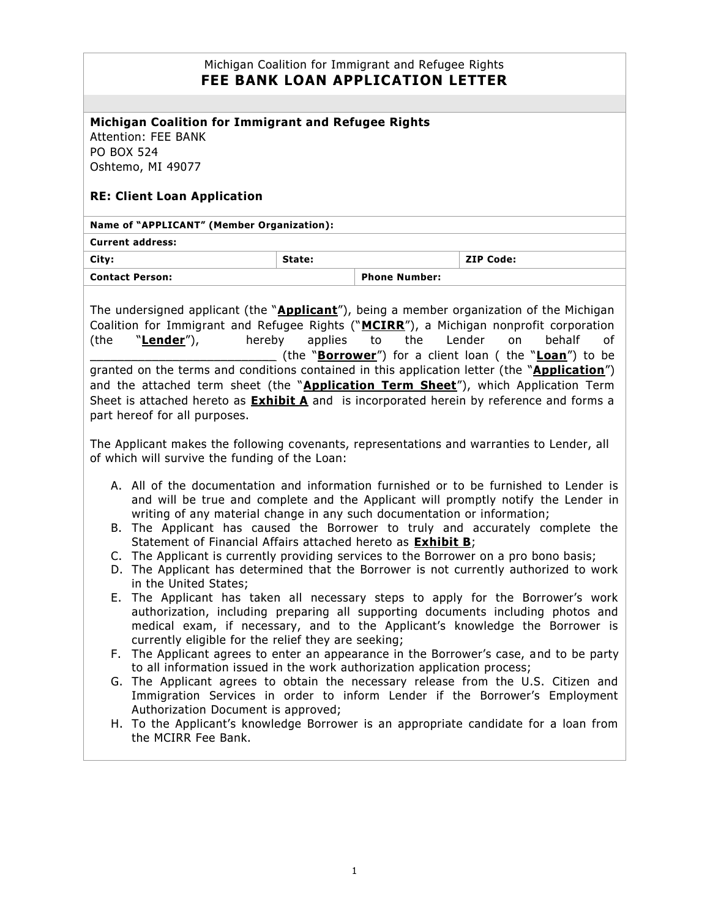| Michigan Coalition for Immigrant and Refugee Rights<br><b>FEE BANK LOAN APPLICATION LETTER</b>                                                                                                                                                                                                                                                                                                                                                                                                                                                                                                                                                                                                                                                                                                                                                                                                                                                                                                                                                                                                                                                                                                                                                                                                                                                                                                                                                                                                                                                                                                  |        |                      |                  |
|-------------------------------------------------------------------------------------------------------------------------------------------------------------------------------------------------------------------------------------------------------------------------------------------------------------------------------------------------------------------------------------------------------------------------------------------------------------------------------------------------------------------------------------------------------------------------------------------------------------------------------------------------------------------------------------------------------------------------------------------------------------------------------------------------------------------------------------------------------------------------------------------------------------------------------------------------------------------------------------------------------------------------------------------------------------------------------------------------------------------------------------------------------------------------------------------------------------------------------------------------------------------------------------------------------------------------------------------------------------------------------------------------------------------------------------------------------------------------------------------------------------------------------------------------------------------------------------------------|--------|----------------------|------------------|
|                                                                                                                                                                                                                                                                                                                                                                                                                                                                                                                                                                                                                                                                                                                                                                                                                                                                                                                                                                                                                                                                                                                                                                                                                                                                                                                                                                                                                                                                                                                                                                                                 |        |                      |                  |
| Michigan Coalition for Immigrant and Refugee Rights<br><b>Attention: FEE BANK</b><br><b>PO BOX 524</b><br>Oshtemo, MI 49077<br><b>RE: Client Loan Application</b>                                                                                                                                                                                                                                                                                                                                                                                                                                                                                                                                                                                                                                                                                                                                                                                                                                                                                                                                                                                                                                                                                                                                                                                                                                                                                                                                                                                                                               |        |                      |                  |
| Name of "APPLICANT" (Member Organization):                                                                                                                                                                                                                                                                                                                                                                                                                                                                                                                                                                                                                                                                                                                                                                                                                                                                                                                                                                                                                                                                                                                                                                                                                                                                                                                                                                                                                                                                                                                                                      |        |                      |                  |
| <b>Current address:</b>                                                                                                                                                                                                                                                                                                                                                                                                                                                                                                                                                                                                                                                                                                                                                                                                                                                                                                                                                                                                                                                                                                                                                                                                                                                                                                                                                                                                                                                                                                                                                                         |        |                      |                  |
| City:                                                                                                                                                                                                                                                                                                                                                                                                                                                                                                                                                                                                                                                                                                                                                                                                                                                                                                                                                                                                                                                                                                                                                                                                                                                                                                                                                                                                                                                                                                                                                                                           | State: |                      | <b>ZIP Code:</b> |
| <b>Contact Person:</b>                                                                                                                                                                                                                                                                                                                                                                                                                                                                                                                                                                                                                                                                                                                                                                                                                                                                                                                                                                                                                                                                                                                                                                                                                                                                                                                                                                                                                                                                                                                                                                          |        | <b>Phone Number:</b> |                  |
| The undersigned applicant (the " <b>Applicant</b> "), being a member organization of the Michigan<br>Coalition for Immigrant and Refugee Rights ("MCIRR"), a Michigan nonprofit corporation<br>hereby<br>the<br>Lender<br>"Lender"),<br>applies<br>on<br>behalf<br>(the<br>to<br>οf<br>(the " <b>Borrower</b> ") for a client loan ( the " <b>Loan</b> ") to be<br>granted on the terms and conditions contained in this application letter (the "Application")<br>and the attached term sheet (the "Application Term Sheet"), which Application Term<br>Sheet is attached hereto as <b>Exhibit A</b> and is incorporated herein by reference and forms a<br>part hereof for all purposes.                                                                                                                                                                                                                                                                                                                                                                                                                                                                                                                                                                                                                                                                                                                                                                                                                                                                                                      |        |                      |                  |
| The Applicant makes the following covenants, representations and warranties to Lender, all<br>of which will survive the funding of the Loan:<br>A. All of the documentation and information furnished or to be furnished to Lender is<br>and will be true and complete and the Applicant will promptly notify the Lender in<br>writing of any material change in any such documentation or information;<br>B. The Applicant has caused the Borrower to truly and accurately complete the<br>Statement of Financial Affairs attached hereto as <b>Exhibit B</b> ;<br>C. The Applicant is currently providing services to the Borrower on a pro bono basis;<br>D. The Applicant has determined that the Borrower is not currently authorized to work<br>in the United States;<br>E. The Applicant has taken all necessary steps to apply for the Borrower's work<br>authorization, including preparing all supporting documents including photos and<br>medical exam, if necessary, and to the Applicant's knowledge the Borrower is<br>currently eligible for the relief they are seeking;<br>The Applicant agrees to enter an appearance in the Borrower's case, and to be party<br>F.<br>to all information issued in the work authorization application process;<br>The Applicant agrees to obtain the necessary release from the U.S. Citizen and<br>G.<br>Immigration Services in order to inform Lender if the Borrower's Employment<br>Authorization Document is approved;<br>H. To the Applicant's knowledge Borrower is an appropriate candidate for a loan from<br>the MCIRR Fee Bank. |        |                      |                  |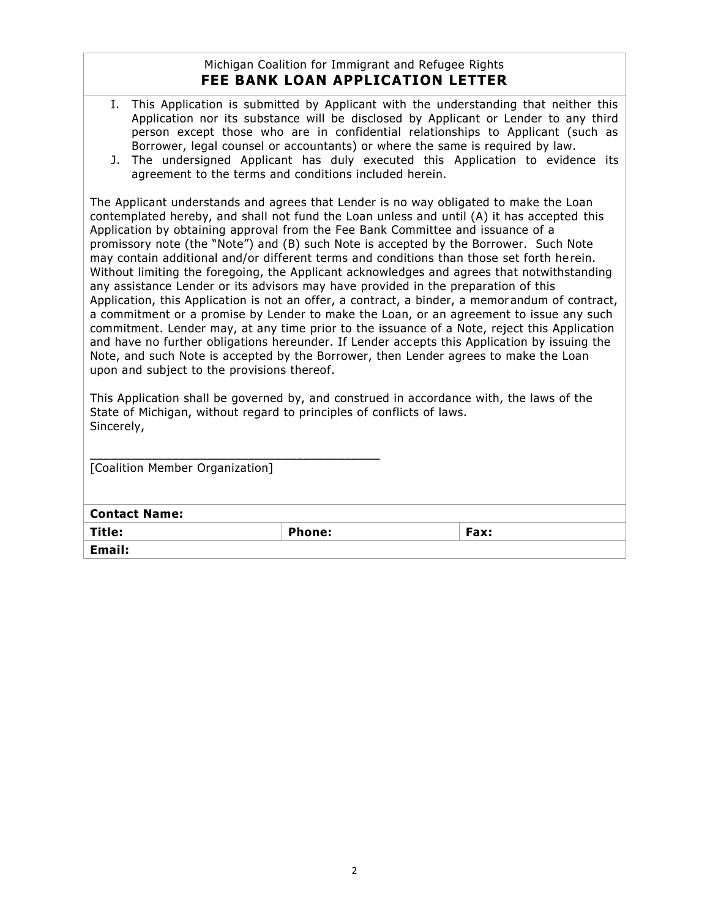# Michigan Coalition for Immigrant and Refugee Rights **FEE BANK LOAN APPLICATION LETTER**

- I. This Application is submitted by Applicant with the understanding that neither this Application nor its substance will be disclosed by Applicant or Lender to any third person except those who are in confidential relationships to Applicant (such as Borrower, legal counsel or accountants) or where the same is required by law.
- J. The undersigned Applicant has duly executed this Application to evidence its agreement to the terms and conditions included herein.

The Applicant understands and agrees that Lender is no way obligated to make the Loan contemplated hereby, and shall not fund the Loan unless and until (A) it has accepted this Application by obtaining approval from the Fee Bank Committee and issuance of a promissory note (the "Note") and (B) such Note is accepted by the Borrower. Such Note may contain additional and/or different terms and conditions than those set forth he rein. Without limiting the foregoing, the Applicant acknowledges and agrees that notwithstanding any assistance Lender or its advisors may have provided in the preparation of this Application, this Application is not an offer, a contract, a binder, a memor andum of contract, a commitment or a promise by Lender to make the Loan, or an agreement to issue any such commitment. Lender may, at any time prior to the issuance of a Note, reject this Application and have no further obligations hereunder. If Lender accepts this Application by issuing the Note, and such Note is accepted by the Borrower, then Lender agrees to make the Loan upon and subject to the provisions thereof.

This Application shall be governed by, and construed in accordance with, the laws of the State of Michigan, without regard to principles of conflicts of laws. Sincerely,

| [Coalition Member Organization] |        |      |  |
|---------------------------------|--------|------|--|
|                                 |        |      |  |
|                                 |        |      |  |
| <b>Contact Name:</b>            |        |      |  |
| Title:                          | Phone: | Fax: |  |
| Email:                          |        |      |  |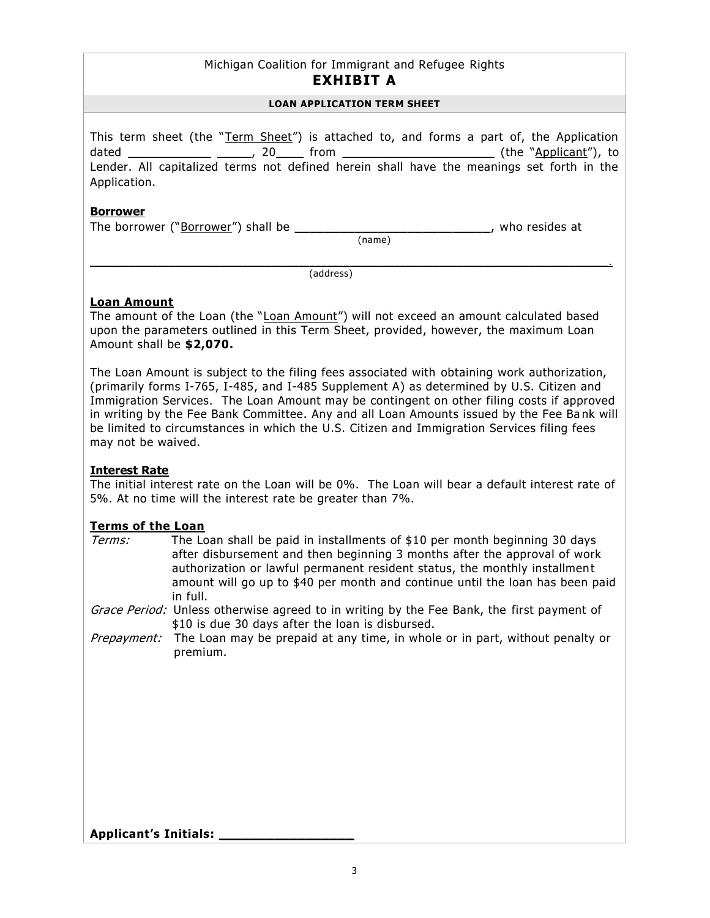## Michigan Coalition for Immigrant and Refugee Rights **EXHIBIT A**

#### **LOAN APPLICATION TERM SHEET**

This term sheet (the "Term Sheet") is attached to, and forms a part of, the Application dated \_\_\_\_\_\_\_\_\_\_\_\_\_ \_\_\_\_\_, 20\_\_\_\_\_ from \_\_\_\_\_\_\_\_\_\_\_\_\_\_\_\_\_\_\_\_\_\_\_\_\_\_\_\_\_\_(the "Applicant"), to Lender. All capitalized terms not defined herein shall have the meanings set forth in the Application.

#### **Borrower**

The borrower ("Borrower") shall be \_\_\_\_\_\_\_\_\_\_\_\_\_\_\_\_\_\_\_\_\_\_\_\_\_\_, who resides at

(name)

 $\mathcal{L}_\mathcal{L} = \{ \mathcal{L}_\mathcal{L} = \{ \mathcal{L}_\mathcal{L} = \{ \mathcal{L}_\mathcal{L} = \{ \mathcal{L}_\mathcal{L} = \{ \mathcal{L}_\mathcal{L} = \{ \mathcal{L}_\mathcal{L} = \{ \mathcal{L}_\mathcal{L} = \{ \mathcal{L}_\mathcal{L} = \{ \mathcal{L}_\mathcal{L} = \{ \mathcal{L}_\mathcal{L} = \{ \mathcal{L}_\mathcal{L} = \{ \mathcal{L}_\mathcal{L} = \{ \mathcal{L}_\mathcal{L} = \{ \mathcal{L}_\mathcal{$ (address)

# **Loan Amount**

The amount of the Loan (the "Loan Amount") will not exceed an amount calculated based upon the parameters outlined in this Term Sheet, provided, however, the maximum Loan Amount shall be **\$2,070.** 

The Loan Amount is subject to the filing fees associated with obtaining work authorization, (primarily forms I-765, I-485, and I-485 Supplement A) as determined by U.S. Citizen and Immigration Services. The Loan Amount may be contingent on other filing costs if approved in writing by the Fee Bank Committee. Any and all Loan Amounts issued by the Fee Ba nk will be limited to circumstances in which the U.S. Citizen and Immigration Services filing fees may not be waived.

## **Interest Rate**

The initial interest rate on the Loan will be 0%. The Loan will bear a default interest rate of 5%. At no time will the interest rate be greater than 7%.

## **Terms of the Loan**

| <i>Terms:</i> | The Loan shall be paid in installments of \$10 per month beginning 30 days<br>after disbursement and then beginning 3 months after the approval of work<br>authorization or lawful permanent resident status, the monthly installment<br>amount will go up to \$40 per month and continue until the loan has been paid<br>in full. |
|---------------|------------------------------------------------------------------------------------------------------------------------------------------------------------------------------------------------------------------------------------------------------------------------------------------------------------------------------------|
|               | Grace Period: Unless otherwise agreed to in writing by the Fee Bank, the first payment of<br>\$10 is due 30 days after the loan is disbursed.                                                                                                                                                                                      |
|               | <i>Prepayment:</i> The Loan may be prepaid at any time, in whole or in part, without penalty or<br>premium.                                                                                                                                                                                                                        |
|               |                                                                                                                                                                                                                                                                                                                                    |
|               |                                                                                                                                                                                                                                                                                                                                    |
|               |                                                                                                                                                                                                                                                                                                                                    |
|               |                                                                                                                                                                                                                                                                                                                                    |
|               |                                                                                                                                                                                                                                                                                                                                    |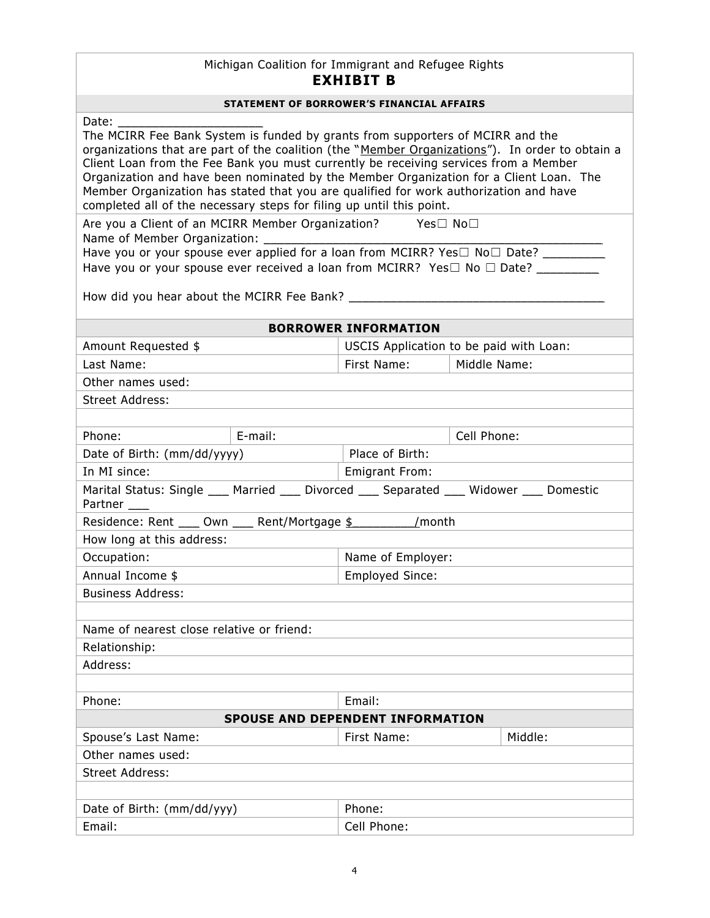# Michigan Coalition for Immigrant and Refugee Rights **EXHIBIT B**

Date:

The MCIRR Fee Bank System is funded by grants from supporters of MCIRR and the organizations that are part of the coalition (the "Member Organizations"). In order to obtain a Client Loan from the Fee Bank you must currently be receiving services from a Member Organization and have been nominated by the Member Organization for a Client Loan. The Member Organization has stated that you are qualified for work authorization and have completed all of the necessary steps for filing up until this point.

Are you a Client of an MCIRR Member Organization? Yes□ No□ Name of Member Organization: \_ Have you or your spouse ever applied for a loan from MCIRR? Yes□ No□ Date?

Have you or your spouse ever received a loan from MCIRR? Yes□ No □ Date? \_\_\_\_\_\_\_

How did you hear about the MCIRR Fee Bank? \_\_\_\_\_\_\_\_\_\_\_\_\_\_\_\_\_\_\_\_\_\_\_\_\_\_\_\_\_\_\_\_\_\_\_\_\_

#### **BORROWER INFORMATION**

| Amount Requested \$ | USCIS Application to be paid with Loan: |  |  |
|---------------------|-----------------------------------------|--|--|
| Last Name:          | Middle Name:<br>First Name:             |  |  |
| Other names used:   |                                         |  |  |
| Street Address:     |                                         |  |  |
|                     |                                         |  |  |

| Phone:                                                                                      | E-mail: |                        | Cell Phone: |         |
|---------------------------------------------------------------------------------------------|---------|------------------------|-------------|---------|
| Date of Birth: (mm/dd/yyyy)                                                                 |         | Place of Birth:        |             |         |
| In MI since:                                                                                |         | <b>Emigrant From:</b>  |             |         |
| Marital Status: Single ____ Married ____ Divorced ____ Separated ____ Widower ____ Domestic |         |                        |             |         |
| Partner ____                                                                                |         |                        |             |         |
| Residence: Rent ____ Own ____ Rent/Mortgage \$                                              |         | /month                 |             |         |
| How long at this address:                                                                   |         |                        |             |         |
| Occupation:                                                                                 |         | Name of Employer:      |             |         |
| Annual Income \$                                                                            |         | <b>Employed Since:</b> |             |         |
| <b>Business Address:</b>                                                                    |         |                        |             |         |
|                                                                                             |         |                        |             |         |
| Name of nearest close relative or friend:                                                   |         |                        |             |         |
| Relationship:                                                                               |         |                        |             |         |
| Address:                                                                                    |         |                        |             |         |
|                                                                                             |         |                        |             |         |
| Phone:                                                                                      |         | Email:                 |             |         |
| <b>SPOUSE AND DEPENDENT INFORMATION</b>                                                     |         |                        |             |         |
| Spouse's Last Name:                                                                         |         | First Name:            |             | Middle: |
| Other names used:                                                                           |         |                        |             |         |
| Street Address:                                                                             |         |                        |             |         |
|                                                                                             |         |                        |             |         |
| $D^{n+1}$ of $D^{n+1}$ , $(mm/dd/mn)$                                                       |         | <b>Dhono</b>           |             |         |

| Date of Birth: (mm/dd/yyy) | Phone:      |
|----------------------------|-------------|
| Email.                     | Cell Phone: |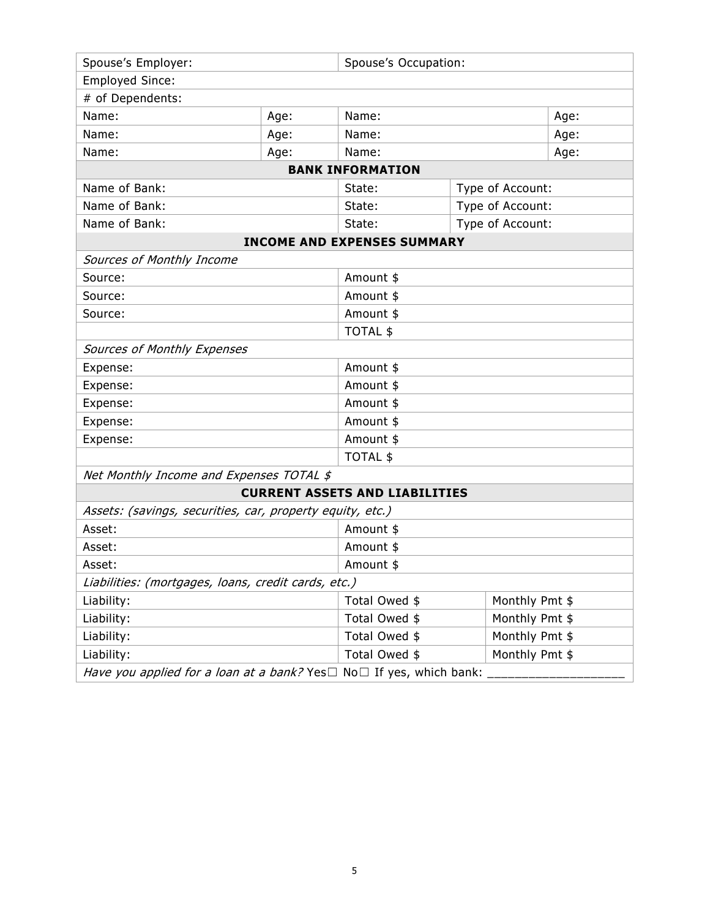| Spouse's Employer:                                                              |           | Spouse's Occupation:                  |                |      |
|---------------------------------------------------------------------------------|-----------|---------------------------------------|----------------|------|
| <b>Employed Since:</b>                                                          |           |                                       |                |      |
| # of Dependents:                                                                |           |                                       |                |      |
| Name:                                                                           | Age:      | Name:                                 |                | Age: |
| Name:                                                                           | Age:      | Name:                                 |                | Age: |
| Name:                                                                           | Age:      | Name:                                 |                | Age: |
|                                                                                 |           | <b>BANK INFORMATION</b>               |                |      |
| Name of Bank:                                                                   |           | Type of Account:<br>State:            |                |      |
| Name of Bank:                                                                   |           | Type of Account:<br>State:            |                |      |
| Name of Bank:                                                                   |           | Type of Account:<br>State:            |                |      |
|                                                                                 |           | <b>INCOME AND EXPENSES SUMMARY</b>    |                |      |
| Sources of Monthly Income                                                       |           |                                       |                |      |
| Source:                                                                         |           | Amount \$                             |                |      |
| Source:                                                                         |           | Amount \$                             |                |      |
| Source:                                                                         | Amount \$ |                                       |                |      |
|                                                                                 |           | <b>TOTAL \$</b>                       |                |      |
| Sources of Monthly Expenses                                                     |           |                                       |                |      |
| Expense:                                                                        | Amount \$ |                                       |                |      |
| Expense:                                                                        | Amount \$ |                                       |                |      |
| Expense:                                                                        |           | Amount \$                             |                |      |
| Expense:                                                                        |           | Amount \$                             |                |      |
| Expense:                                                                        |           | Amount \$                             |                |      |
|                                                                                 |           | <b>TOTAL \$</b>                       |                |      |
| Net Monthly Income and Expenses TOTAL \$                                        |           |                                       |                |      |
|                                                                                 |           | <b>CURRENT ASSETS AND LIABILITIES</b> |                |      |
| Assets: (savings, securities, car, property equity, etc.)                       |           |                                       |                |      |
| Asset:                                                                          |           | Amount \$                             |                |      |
| Asset:                                                                          |           | Amount \$                             |                |      |
| Asset:                                                                          |           | Amount \$                             |                |      |
| Liabilities: (mortgages, loans, credit cards, etc.)                             |           |                                       |                |      |
| Liability:                                                                      |           | Monthly Pmt \$<br>Total Owed \$       |                |      |
| Liability:                                                                      |           | Total Owed \$<br>Monthly Pmt \$       |                |      |
| Liability:                                                                      |           | Total Owed \$                         | Monthly Pmt \$ |      |
| Liability:                                                                      |           | Monthly Pmt \$<br>Total Owed \$       |                |      |
| Have you applied for a loan at a bank? Yes $\Box$ No $\Box$ If yes, which bank: |           |                                       |                |      |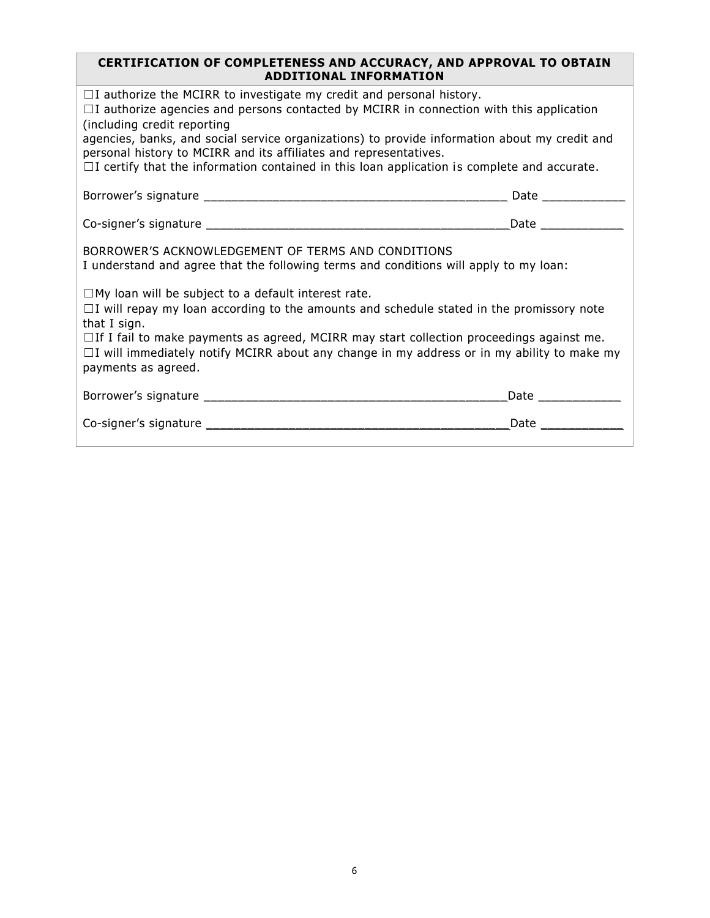#### **CERTIFICATION OF COMPLETENESS AND ACCURACY, AND APPROVAL TO OBTAIN ADDITIONAL INFORMATION**

| $\Box$ I authorize the MCIRR to investigate my credit and personal history.<br>$\Box$ I authorize agencies and persons contacted by MCIRR in connection with this application<br>(including credit reporting<br>agencies, banks, and social service organizations) to provide information about my credit and<br>personal history to MCIRR and its affiliates and representatives.<br>$\Box$ I certify that the information contained in this loan application is complete and accurate. |                                                                                                                 |  |  |  |
|------------------------------------------------------------------------------------------------------------------------------------------------------------------------------------------------------------------------------------------------------------------------------------------------------------------------------------------------------------------------------------------------------------------------------------------------------------------------------------------|-----------------------------------------------------------------------------------------------------------------|--|--|--|
|                                                                                                                                                                                                                                                                                                                                                                                                                                                                                          |                                                                                                                 |  |  |  |
|                                                                                                                                                                                                                                                                                                                                                                                                                                                                                          |                                                                                                                 |  |  |  |
| BORROWER'S ACKNOWLEDGEMENT OF TERMS AND CONDITIONS<br>I understand and agree that the following terms and conditions will apply to my loan:                                                                                                                                                                                                                                                                                                                                              |                                                                                                                 |  |  |  |
| $\Box$ My loan will be subject to a default interest rate.<br>$\Box$ I will repay my loan according to the amounts and schedule stated in the promissory note<br>that I sign.<br>$\Box$ If I fail to make payments as agreed, MCIRR may start collection proceedings against me.<br>$\Box$ I will immediately notify MCIRR about any change in my address or in my ability to make my<br>payments as agreed.                                                                             |                                                                                                                 |  |  |  |
|                                                                                                                                                                                                                                                                                                                                                                                                                                                                                          | Date and the state of the state of the state of the state of the state of the state of the state of the state o |  |  |  |
|                                                                                                                                                                                                                                                                                                                                                                                                                                                                                          | <b>Date Exercise State</b>                                                                                      |  |  |  |